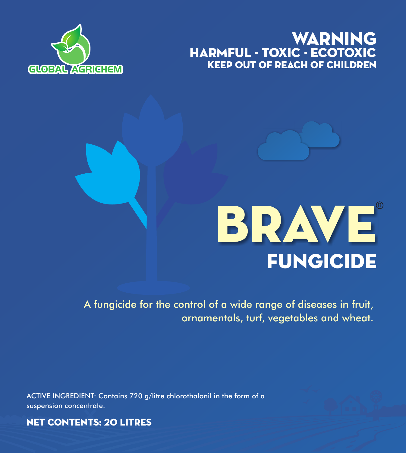# **GLOBAL AGRICHEM** KEEP OUT OF REACH OF CHILDREN WARNING HARMFUL · TOXIC · ECOTOXIC





# **FUNGICIDE** BRAVE

A fungicide for the control of a wide range of diseases in fruit, ornamentals, turf, vegetables and wheat.

ACTIVE INGREDIENT: Contains 720 g/litre chlorothalonil in the form of a suspension concentrate.

NET CONTENTS: 20 LITRES